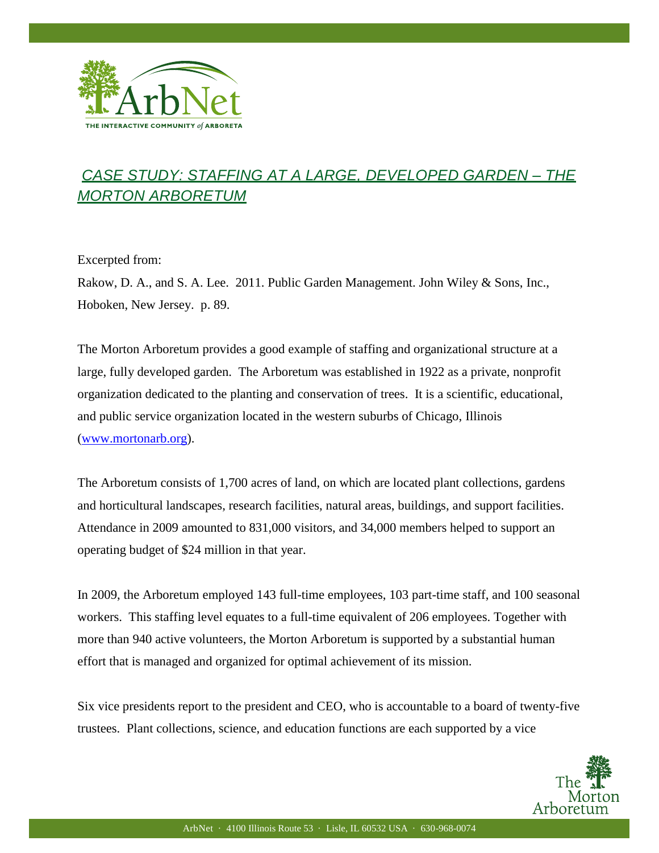

## *CASE STUDY: STAFFING AT A LARGE, DEVELOPED GARDEN – THE MORTON ARBORETUM*

Excerpted from:

Ξ

Rakow, D. A., and S. A. Lee. 2011. Public Garden Management. John Wiley & Sons, Inc., Hoboken, New Jersey. p. 89.

The Morton Arboretum provides a good example of staffing and organizational structure at a large, fully developed garden. The Arboretum was established in 1922 as a private, nonprofit organization dedicated to the planting and conservation of trees. It is a scientific, educational, and public service organization located in the western suburbs of Chicago, Illinois [\(www.mortonarb.org\)](http://www.mortonarb.org/).

The Arboretum consists of 1,700 acres of land, on which are located plant collections, gardens and horticultural landscapes, research facilities, natural areas, buildings, and support facilities. Attendance in 2009 amounted to 831,000 visitors, and 34,000 members helped to support an operating budget of \$24 million in that year.

In 2009, the Arboretum employed 143 full-time employees, 103 part-time staff, and 100 seasonal workers. This staffing level equates to a full-time equivalent of 206 employees. Together with more than 940 active volunteers, the Morton Arboretum is supported by a substantial human effort that is managed and organized for optimal achievement of its mission.

Six vice presidents report to the president and CEO, who is accountable to a board of twenty-five trustees. Plant collections, science, and education functions are each supported by a vice